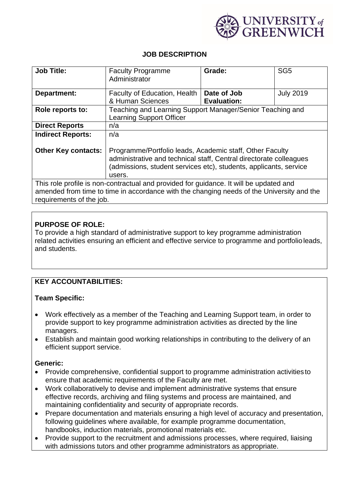

## **JOB DESCRIPTION**

| <b>Job Title:</b>                                                                                                     | <b>Faculty Programme</b><br>Administrator                                                                                                                                                                     | Grade:             | SG <sub>5</sub>  |
|-----------------------------------------------------------------------------------------------------------------------|---------------------------------------------------------------------------------------------------------------------------------------------------------------------------------------------------------------|--------------------|------------------|
| Department:                                                                                                           | Faculty of Education, Health                                                                                                                                                                                  | Date of Job        | <b>July 2019</b> |
|                                                                                                                       | & Human Sciences                                                                                                                                                                                              | <b>Evaluation:</b> |                  |
| Role reports to:                                                                                                      | Teaching and Learning Support Manager/Senior Teaching and<br><b>Learning Support Officer</b>                                                                                                                  |                    |                  |
| <b>Direct Reports</b>                                                                                                 | n/a                                                                                                                                                                                                           |                    |                  |
| <b>Indirect Reports:</b>                                                                                              | n/a                                                                                                                                                                                                           |                    |                  |
| <b>Other Key contacts:</b>                                                                                            | Programme/Portfolio leads, Academic staff, Other Faculty<br>administrative and technical staff, Central directorate colleagues<br>(admissions, student services etc), students, applicants, service<br>users. |                    |                  |
| This role profile is non-contractual and provided for guidance. It will be updated and                                |                                                                                                                                                                                                               |                    |                  |
| amended from time to time in accordance with the changing needs of the University and the<br>requirements of the job. |                                                                                                                                                                                                               |                    |                  |

## **PURPOSE OF ROLE:**

To provide a high standard of administrative support to key programme administration related activities ensuring an efficient and effective service to programme and portfolio leads, and students.

# **KEY ACCOUNTABILITIES:**

## **Team Specific:**

- Work effectively as a member of the Teaching and Learning Support team, in order to provide support to key programme administration activities as directed by the line managers.
- Establish and maintain good working relationships in contributing to the delivery of an efficient support service.

#### **Generic:**

- Provide comprehensive, confidential support to programme administration activities to ensure that academic requirements of the Faculty are met.
- Work collaboratively to devise and implement administrative systems that ensure effective records, archiving and filing systems and process are maintained, and maintaining confidentiality and security of appropriate records.
- Prepare documentation and materials ensuring a high level of accuracy and presentation, following guidelines where available, for example programme documentation, handbooks, induction materials, promotional materials etc.
- Provide support to the recruitment and admissions processes, where required, liaising with admissions tutors and other programme administrators as appropriate.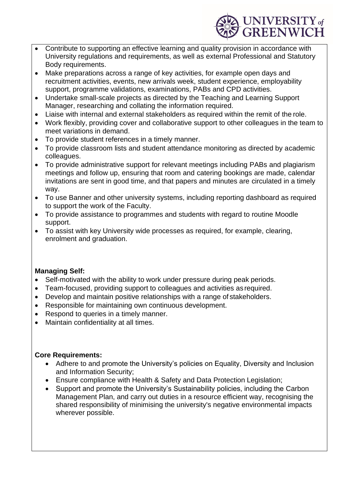

- Contribute to supporting an effective learning and quality provision in accordance with University regulations and requirements, as well as external Professional and Statutory Body requirements.
- Make preparations across a range of key activities, for example open days and recruitment activities, events, new arrivals week, student experience, employability support, programme validations, examinations, PABs and CPD activities.
- Undertake small-scale projects as directed by the Teaching and Learning Support Manager, researching and collating the information required.
- Liaise with internal and external stakeholders as required within the remit of the role.
- Work flexibly, providing cover and collaborative support to other colleagues in the team to meet variations in demand.
- To provide student references in a timely manner.
- To provide classroom lists and student attendance monitoring as directed by academic colleagues.
- To provide administrative support for relevant meetings including PABs and plagiarism meetings and follow up, ensuring that room and catering bookings are made, calendar invitations are sent in good time, and that papers and minutes are circulated in a timely way.
- To use Banner and other university systems, including reporting dashboard as required to support the work of the Faculty.
- To provide assistance to programmes and students with regard to routine Moodle support.
- To assist with key University wide processes as required, for example, clearing, enrolment and graduation.

## **Managing Self:**

- Self-motivated with the ability to work under pressure during peak periods.
- Team-focused, providing support to colleagues and activities as required.
- Develop and maintain positive relationships with a range of stakeholders.
- Responsible for maintaining own continuous development.
- Respond to queries in a timely manner.
- Maintain confidentiality at all times.

## **Core Requirements:**

- Adhere to and promote the University's policies on Equality, Diversity and Inclusion and Information Security;
- Ensure compliance with Health & Safety and Data Protection Legislation;
- Support and promote the University's Sustainability policies, including the Carbon Management Plan, and carry out duties in a resource efficient way, recognising the shared responsibility of minimising the university's negative environmental impacts wherever possible.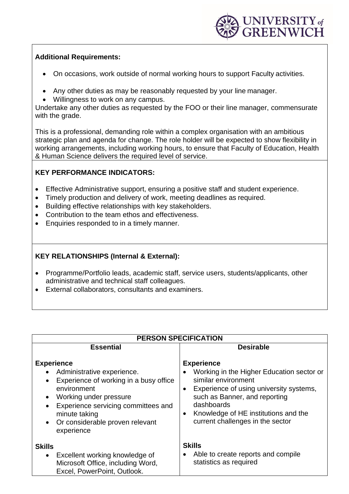

#### **Additional Requirements:**

- On occasions, work outside of normal working hours to support Faculty activities.
- Any other duties as may be reasonably requested by your line manager.
- Willingness to work on any campus.

Undertake any other duties as requested by the FOO or their line manager, commensurate with the grade.

This is a professional, demanding role within a complex organisation with an ambitious strategic plan and agenda for change. The role holder will be expected to show flexibility in working arrangements, including working hours, to ensure that Faculty of Education, Health & Human Science delivers the required level of service.

# **KEY PERFORMANCE INDICATORS:**

- Effective Administrative support, ensuring a positive staff and student experience.
- Timely production and delivery of work, meeting deadlines as required.
- Building effective relationships with key stakeholders.
- Contribution to the team ethos and effectiveness.
- Enquiries responded to in a timely manner.

# **KEY RELATIONSHIPS (Internal & External):**

- Programme/Portfolio leads, academic staff, service users, students/applicants, other administrative and technical staff colleagues.
- External collaborators, consultants and examiners.

| <b>PERSON SPECIFICATION</b>                                                                                                                                                                                                                                                                                  |                                                                                                                                                                                                                                                                                       |  |  |
|--------------------------------------------------------------------------------------------------------------------------------------------------------------------------------------------------------------------------------------------------------------------------------------------------------------|---------------------------------------------------------------------------------------------------------------------------------------------------------------------------------------------------------------------------------------------------------------------------------------|--|--|
| <b>Essential</b>                                                                                                                                                                                                                                                                                             | <b>Desirable</b>                                                                                                                                                                                                                                                                      |  |  |
| <b>Experience</b><br>Administrative experience.<br>$\bullet$<br>Experience of working in a busy office<br>$\bullet$<br>environment<br>Working under pressure<br>$\bullet$<br>Experience servicing committees and<br>$\bullet$<br>minute taking<br>Or considerable proven relevant<br>$\bullet$<br>experience | <b>Experience</b><br>Working in the Higher Education sector or<br>similar environment<br>Experience of using university systems,<br>$\bullet$<br>such as Banner, and reporting<br>dashboards<br>Knowledge of HE institutions and the<br>$\bullet$<br>current challenges in the sector |  |  |
| <b>Skills</b><br>Excellent working knowledge of<br>$\bullet$<br>Microsoft Office, including Word,<br>Excel, PowerPoint, Outlook.                                                                                                                                                                             | <b>Skills</b><br>Able to create reports and compile<br>$\bullet$<br>statistics as required                                                                                                                                                                                            |  |  |